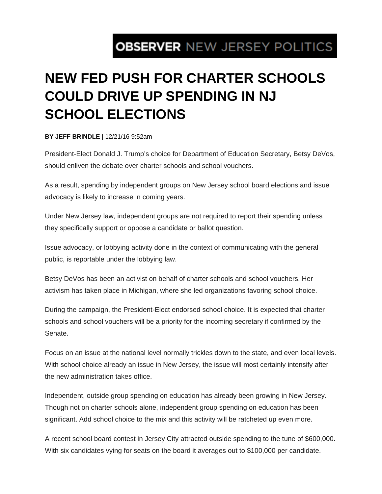## **OBSERVER NEW JERSEY POLITICS**

## **NEW FED PUSH FOR CHARTER SCHOOLS COULD DRIVE UP SPENDING IN NJ SCHOOL ELECTIONS**

## **BY JEFF BRINDLE |** 12/21/16 9:52am

President-Elect Donald J. Trump's choice for Department of Education Secretary, Betsy DeVos, should enliven the debate over charter schools and school vouchers.

As a result, spending by independent groups on New Jersey school board elections and issue advocacy is likely to increase in coming years.

Under New Jersey law, independent groups are not required to report their spending unless they specifically support or oppose a candidate or ballot question.

Issue advocacy, or lobbying activity done in the context of communicating with the general public, is reportable under the lobbying law.

Betsy DeVos has been an activist on behalf of charter schools and school vouchers. Her activism has taken place in Michigan, where she led organizations favoring school choice.

During the campaign, the President-Elect endorsed school choice. It is expected that charter schools and school vouchers will be a priority for the incoming secretary if confirmed by the Senate.

Focus on an issue at the national level normally trickles down to the state, and even local levels. With school choice already an issue in New Jersey, the issue will most certainly intensify after the new administration takes office.

Independent, outside group spending on education has already been growing in New Jersey. Though not on charter schools alone, independent group spending on education has been significant. Add school choice to the mix and this activity will be ratcheted up even more.

A recent school board contest in Jersey City attracted outside spending to the tune of \$600,000. With six candidates vying for seats on the board it averages out to \$100,000 per candidate.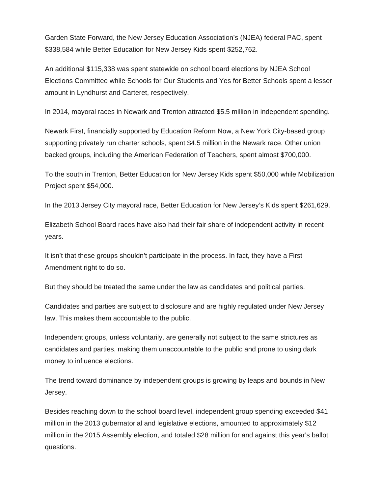Garden State Forward, the New Jersey Education Association's (NJEA) federal PAC, spent \$338,584 while Better Education for New Jersey Kids spent \$252,762.

An additional \$115,338 was spent statewide on school board elections by NJEA School Elections Committee while Schools for Our Students and Yes for Better Schools spent a lesser amount in Lyndhurst and Carteret, respectively.

In 2014, mayoral races in Newark and Trenton attracted \$5.5 million in independent spending.

Newark First, financially supported by Education Reform Now, a New York City-based group supporting privately run charter schools, spent \$4.5 million in the Newark race. Other union backed groups, including the American Federation of Teachers, spent almost \$700,000.

To the south in Trenton, Better Education for New Jersey Kids spent \$50,000 while Mobilization Project spent \$54,000.

In the 2013 Jersey City mayoral race, Better Education for New Jersey's Kids spent \$261,629.

Elizabeth School Board races have also had their fair share of independent activity in recent years.

It isn't that these groups shouldn't participate in the process. In fact, they have a First Amendment right to do so.

But they should be treated the same under the law as candidates and political parties.

Candidates and parties are subject to disclosure and are highly regulated under New Jersey law. This makes them accountable to the public.

Independent groups, unless voluntarily, are generally not subject to the same strictures as candidates and parties, making them unaccountable to the public and prone to using dark money to influence elections.

The trend toward dominance by independent groups is growing by leaps and bounds in New Jersey.

Besides reaching down to the school board level, independent group spending exceeded \$41 million in the 2013 gubernatorial and legislative elections, amounted to approximately \$12 million in the 2015 Assembly election, and totaled \$28 million for and against this year's ballot questions.